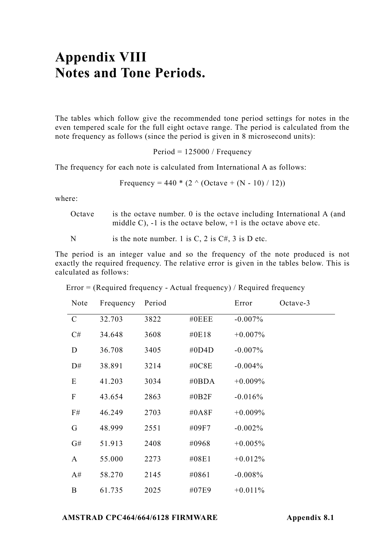## **Appendix VIII Notes and Tone Periods.**

The tables which follow give the recommended tone period settings for notes in the even tempered scale for the full eight octave range. The period is calculated from the note frequency as follows (since the period is given in 8 microsecond units):

Period = 125000 / Frequency

The frequency for each note is calculated from International A as follows:

Frequency = 
$$
440 * (2 \land (Octave + (N - 10) / 12))
$$

where:

Octave is the octave number. 0 is the octave including International A (and middle C),  $-1$  is the octave below,  $+1$  is the octave above etc.

N is the note number. 1 is  $C$ , 2 is  $C \#$ , 3 is D etc.

The period is an integer value and so the frequency of the note produced is not exactly the required frequency. The relative error is given in the tables below. This is calculated as follows:

| Note        | Frequency | Period |          | Error      | Octave-3 |
|-------------|-----------|--------|----------|------------|----------|
| $\mathbf C$ | 32.703    | 3822   | $\#0EEE$ | $-0.007\%$ |          |
| C#          | 34.648    | 3608   | #0E18    | $+0.007\%$ |          |
| D           | 36.708    | 3405   | #0D4D    | $-0.007\%$ |          |
| D#          | 38.891    | 3214   | #0C8E    | $-0.004\%$ |          |
| E           | 41.203    | 3034   | #0 $BDA$ | $+0.009%$  |          |
| F           | 43.654    | 2863   | #0B2F    | $-0.016%$  |          |
| F#          | 46.249    | 2703   | #0A8F    | $+0.009%$  |          |
| G           | 48.999    | 2551   | #09F7    | $-0.002\%$ |          |
| G#          | 51.913    | 2408   | #0968    | $+0.005%$  |          |
| A           | 55.000    | 2273   | #08E1    | $+0.012%$  |          |
| A#          | 58.270    | 2145   | #0861    | $-0.008%$  |          |
| B           | 61.735    | 2025   | #07E9    | $+0.011%$  |          |

Error = (Required frequency - Actual frequency) / Required frequency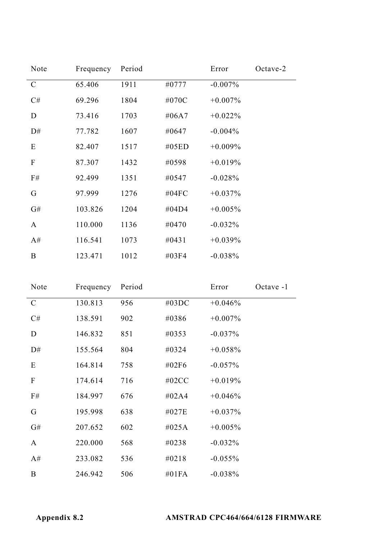| Note        | Frequency | Period |          | Error      | Octave-2 |
|-------------|-----------|--------|----------|------------|----------|
| $\mathbf C$ | 65.406    | 1911   | #0777    | $-0.007\%$ |          |
| C#          | 69.296    | 1804   | #070C    | $+0.007\%$ |          |
| D           | 73.416    | 1703   | #06A7    | $+0.022\%$ |          |
| D#          | 77.782    | 1607   | #0647    | $-0.004\%$ |          |
| Ε           | 82.407    | 1517   | #05ED    | $+0.009\%$ |          |
| F           | 87.307    | 1432   | #0598    | $+0.019%$  |          |
| F#          | 92.499    | 1351   | #0547    | $-0.028%$  |          |
| G           | 97.999    | 1276   | #04 $FC$ | $+0.037\%$ |          |
| G#          | 103.826   | 1204   | #04D4    | $+0.005%$  |          |
| A           | 110.000   | 1136   | #0470    | $-0.032%$  |          |
| A#          | 116.541   | 1073   | #0431    | $+0.039%$  |          |
| B           | 123.471   | 1012   | #03F4    | $-0.038%$  |          |

| Note         | Frequency | Period |          | Error      | Octave -1 |
|--------------|-----------|--------|----------|------------|-----------|
| $\mathsf{C}$ | 130.813   | 956    | #03DC    | $+0.046%$  |           |
| C#           | 138.591   | 902    | #0386    | $+0.007\%$ |           |
| D            | 146.832   | 851    | #0353    | $-0.037\%$ |           |
| D#           | 155.564   | 804    | #0324    | $+0.058%$  |           |
| E            | 164.814   | 758    | #02F6    | $-0.057\%$ |           |
| F            | 174.614   | 716    | #02 $CC$ | $+0.019%$  |           |
| F#           | 184.997   | 676    | #02A4    | $+0.046%$  |           |
| G            | 195.998   | 638    | #027E    | $+0.037%$  |           |
| G#           | 207.652   | 602    | #025A    | $+0.005\%$ |           |
| A            | 220.000   | 568    | #0238    | $-0.032%$  |           |
| A#           | 233.082   | 536    | #0218    | $-0.055\%$ |           |
| B            | 246.942   | 506    | #01FA    | $-0.038%$  |           |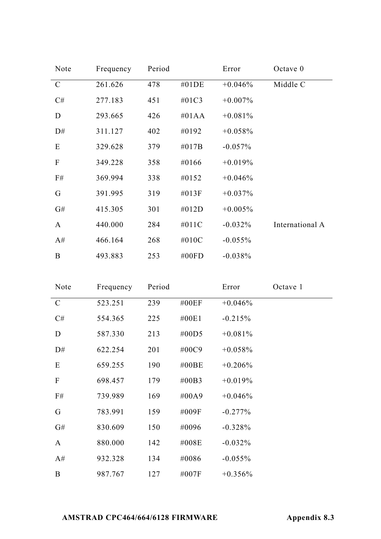| Note          | Frequency | Period |          | Error      | Octave $0$      |
|---------------|-----------|--------|----------|------------|-----------------|
| $\mathcal{C}$ | 261.626   | 478    | $\#01DE$ | $+0.046%$  | Middle C        |
| C#            | 277.183   | 451    | #01C3    | $+0.007\%$ |                 |
| D             | 293.665   | 426    | $\#01AA$ | $+0.081%$  |                 |
| D#            | 311.127   | 402    | #0192    | $+0.058%$  |                 |
| E             | 329.628   | 379    | $\#017B$ | $-0.057\%$ |                 |
| $\mathbf F$   | 349.228   | 358    | #0166    | $+0.019%$  |                 |
| F#            | 369.994   | 338    | #0152    | $+0.046%$  |                 |
| G             | 391.995   | 319    | $\#013F$ | $+0.037\%$ |                 |
| G#            | 415.305   | 301    | #012D    | $+0.005%$  |                 |
| A             | 440.000   | 284    | #011C    | $-0.032\%$ | International A |
| A#            | 466.164   | 268    | #010C    | $-0.055%$  |                 |
| B             | 493.883   | 253    | #00 $FD$ | $-0.038%$  |                 |

| Note                      | Frequency | Period |          | Error      | Octave 1 |
|---------------------------|-----------|--------|----------|------------|----------|
| $\mathbf C$               | 523.251   | 239    | #00EF    | $+0.046%$  |          |
| C#                        | 554.365   | 225    | #00E1    | $-0.215%$  |          |
| D                         | 587.330   | 213    | #00D5    | $+0.081\%$ |          |
| D#                        | 622.254   | 201    | #00C9    | $+0.058\%$ |          |
| Ε                         | 659.255   | 190    | #00BE    | $+0.206\%$ |          |
| $\boldsymbol{\mathrm{F}}$ | 698.457   | 179    | $\#00B3$ | $+0.019%$  |          |
| F#                        | 739.989   | 169    | #00A9    | $+0.046%$  |          |
| G                         | 783.991   | 159    | #009F    | $-0.277%$  |          |
| G#                        | 830.609   | 150    | #0096    | $-0.328%$  |          |
| A                         | 880.000   | 142    | #008E    | $-0.032%$  |          |
| A#                        | 932.328   | 134    | #0086    | $-0.055%$  |          |
| B                         | 987.767   | 127    | #007F    | $+0.356%$  |          |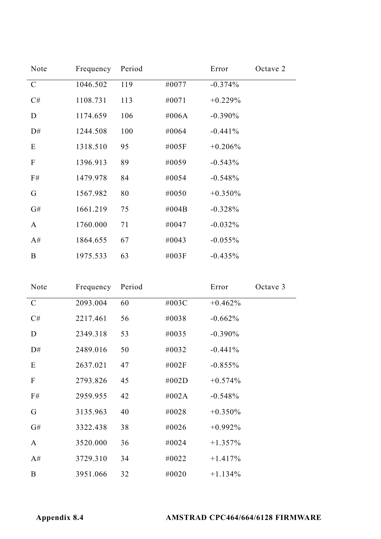| Note          | Frequency | Period |       | Error      | Octave 2 |
|---------------|-----------|--------|-------|------------|----------|
| $\mathcal{C}$ | 1046.502  | 119    | #0077 | $-0.374%$  |          |
| C#            | 1108.731  | 113    | #0071 | $+0.229%$  |          |
| D             | 1174.659  | 106    | #006A | $-0.390\%$ |          |
| D#            | 1244.508  | 100    | #0064 | $-0.441%$  |          |
| E             | 1318.510  | 95     | #005F | $+0.206\%$ |          |
| F             | 1396.913  | 89     | #0059 | $-0.543%$  |          |
| F#            | 1479.978  | 84     | #0054 | $-0.548%$  |          |
| G             | 1567.982  | 80     | #0050 | $+0.350\%$ |          |
| G#            | 1661.219  | 75     | #004B | $-0.328%$  |          |
| A             | 1760.000  | 71     | #0047 | $-0.032%$  |          |
| A#            | 1864.655  | 67     | #0043 | $-0.055%$  |          |
| B             | 1975.533  | 63     | #003F | $-0.435%$  |          |

| Note          | Frequency | Period |       | Error      | Octave 3 |
|---------------|-----------|--------|-------|------------|----------|
| $\mathcal{C}$ | 2093.004  | 60     | #003C | $+0.462\%$ |          |
| C#            | 2217.461  | 56     | #0038 | $-0.662%$  |          |
| D             | 2349.318  | 53     | #0035 | $-0.390\%$ |          |
| D#            | 2489.016  | 50     | #0032 | $-0.441%$  |          |
| E             | 2637.021  | 47     | #002F | $-0.855%$  |          |
| F             | 2793.826  | 45     | #002D | $+0.574\%$ |          |
| F#            | 2959.955  | 42     | #002A | $-0.548%$  |          |
| G             | 3135.963  | 40     | #0028 | $+0.350\%$ |          |
| G#            | 3322.438  | 38     | #0026 | $+0.992\%$ |          |
| A             | 3520.000  | 36     | #0024 | $+1.357\%$ |          |
| A#            | 3729.310  | 34     | #0022 | $+1.417%$  |          |
| B             | 3951.066  | 32     | #0020 | $+1.134%$  |          |